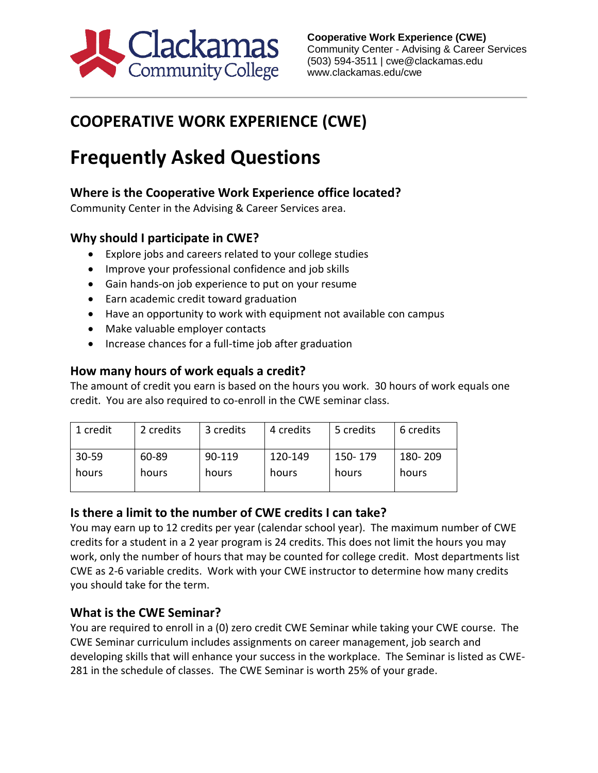

## **COOPERATIVE WORK EXPERIENCE (CWE)**

# **Frequently Asked Questions**

### **Where is the Cooperative Work Experience office located?**

Community Center in the Advising & Career Services area.

#### **Why should I participate in CWE?**

- Explore jobs and careers related to your college studies
- Improve your professional confidence and job skills
- Gain hands-on job experience to put on your resume
- Earn academic credit toward graduation
- Have an opportunity to work with equipment not available con campus
- Make valuable employer contacts
- Increase chances for a full-time job after graduation

#### **How many hours of work equals a credit?**

The amount of credit you earn is based on the hours you work. 30 hours of work equals one credit. You are also required to co-enroll in the CWE seminar class.

| 1 credit  | 2 credits | 3 credits | 4 credits | 5 credits | 6 credits |
|-----------|-----------|-----------|-----------|-----------|-----------|
| $30 - 59$ | 60-89     | 90-119    | 120-149   | 150-179   | 180-209   |
| hours     | hours     | hours     | hours     | hours     | hours     |

#### **Is there a limit to the number of CWE credits I can take?**

You may earn up to 12 credits per year (calendar school year). The maximum number of CWE credits for a student in a 2 year program is 24 credits. This does not limit the hours you may work, only the number of hours that may be counted for college credit. Most departments list CWE as 2-6 variable credits. Work with your CWE instructor to determine how many credits you should take for the term.

#### **What is the CWE Seminar?**

You are required to enroll in a (0) zero credit CWE Seminar while taking your CWE course. The CWE Seminar curriculum includes assignments on career management, job search and developing skills that will enhance your success in the workplace. The Seminar is listed as CWE-281 in the schedule of classes. The CWE Seminar is worth 25% of your grade.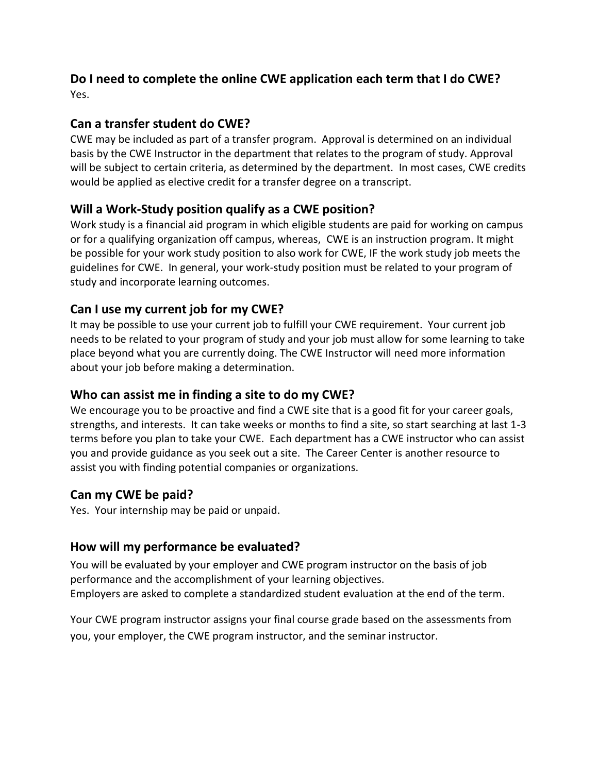#### **Do I need to complete the online CWE application each term that I do CWE?** Yes.

#### **Can a transfer student do CWE?**

CWE may be included as part of a transfer program. Approval is determined on an individual basis by the CWE Instructor in the department that relates to the program of study. Approval will be subject to certain criteria, as determined by the department. In most cases, CWE credits would be applied as elective credit for a transfer degree on a transcript.

#### **Will a Work-Study position qualify as a CWE position?**

Work study is a financial aid program in which eligible students are paid for working on campus or for a qualifying organization off campus, whereas, CWE is an instruction program. It might be possible for your work study position to also work for CWE, IF the work study job meets the guidelines for CWE. In general, your work-study position must be related to your program of study and incorporate learning outcomes.

#### **Can I use my current job for my CWE?**

It may be possible to use your current job to fulfill your CWE requirement. Your current job needs to be related to your program of study and your job must allow for some learning to take place beyond what you are currently doing. The CWE Instructor will need more information about your job before making a determination.

#### **Who can assist me in finding a site to do my CWE?**

We encourage you to be proactive and find a CWE site that is a good fit for your career goals, strengths, and interests. It can take weeks or months to find a site, so start searching at last 1-3 terms before you plan to take your CWE. Each department has a CWE instructor who can assist you and provide guidance as you seek out a site. The Career Center is another resource to assist you with finding potential companies or organizations.

#### **Can my CWE be paid?**

Yes. Your internship may be paid or unpaid.

#### **How will my performance be evaluated?**

You will be evaluated by your employer and CWE program instructor on the basis of job performance and the accomplishment of your learning objectives. Employers are asked to complete a standardized student evaluation at the end of the term.

Your CWE program instructor assigns your final course grade based on the assessments from you, your employer, the CWE program instructor, and the seminar instructor.